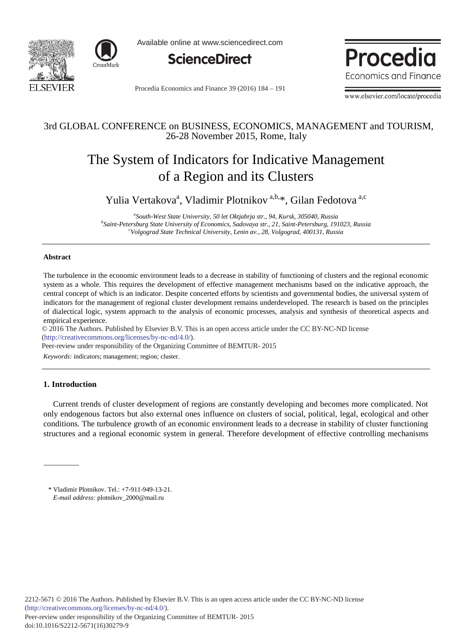



Available online at www.sciencedirect.com



Procedia Economics and Finance 39 (2016) 184 - 191



www.elsevier.com/locate/procedia

# 3rd GLOBAL CONFERENCE on BUSINESS, ECONOMICS, MANAGEMENT and TOURISM, 26-28 November 2015, Rome, Italy

# The System of Indicators for Indicative Management of a Region and its Clusters

Yulia Vertakova<sup>a</sup>, Vladimir Plotnikov<sup>a,b,\*</sup>, Gilan Fedotova<sup>a,c</sup>

*a South-West State University, 50 let Oktjabrja str., 94, Kursk, 305040, Russia b Saint-Petersburg State University of Economics, Sadovaya str., 21, Saint-Petersburg, 191023, Russia c Volgograd State Technical University, Lenin av., 28, Volgograd, 400131, Russia*

### **Abstract**

The turbulence in the economic environment leads to a decrease in stability of functioning of clusters and the regional economic system as a whole. This requires the development of effective management mechanisms based on the indicative approach, the central concept of which is an indicator. Despite concerted efforts by scientists and governmental bodies, the universal system of indicators for the management of regional cluster development remains underdeveloped. The research is based on the principles of dialectical logic, system approach to the analysis of economic processes, analysis and synthesis of theoretical aspects and empirical experience.

© 2016 The Authors. Published by Elsevier B.V. © 2016 The Authors. Published by Elsevier B.V. This is an open access article under the CC BY-NC-ND license (http://creativecommons.org/licenses/by-nc-nd/4.0/).

Peer-review under responsibility of the Organizing Committee of BEMTUR- 2015

*Keywords:* indicators; management; region; cluster.

# **1. Introduction**

Current trends of cluster development of regions are constantly developing and becomes more complicated. Not only endogenous factors but also external ones influence on clusters of social, political, legal, ecological and other conditions. The turbulence growth of an economic environment leads to a decrease in stability of cluster functioning structures and a regional economic system in general. Therefore development of effective controlling mechanisms

\* Vladimir Plotnikov. Tel.: +7-911-949-13-21. *E-mail address:* plotnikov\_2000@mail.ru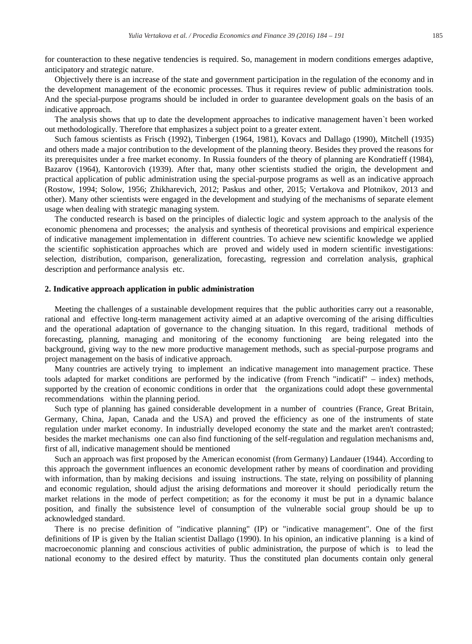Objectively there is an increase of the state and government participation in the regulation of the economy and in the development management of the economic processes. Thus it requires review of public administration tools. And the special-purpose programs should be included in order to guarantee development goals on the basis of an indicative approach.

The analysis shows that up to date the development approaches to indicative management haven`t been worked out methodologically. Therefore that emphasizes a subject point to a greater extent.

Such famous scientists as Frisch (1992), Tinbergen (1964, 1981), Kovacs and Dallago (1990), Mitchell (1935) and others made a major contribution to the development of the planning theory. Besides they proved the reasons for its prerequisites under a free market economy. In Russia founders of the theory of planning are Kondratieff (1984), Bazarov (1964), Kantorovich (1939). After that, many other scientists studied the origin, the development and practical application of public administration using the special-purpose programs as well as an indicative approach (Rostow, 1994; Solow, 1956; Zhikharevich, 2012; Paskus and other, 2015; Vertakova and Plotnikov, 2013 and other). Many other scientists were engaged in the development and studying of the mechanisms of separate element usage when dealing with strategic managing system.

The conducted research is based on the principles of dialectic logic and system approach to the analysis of the economic phenomena and processes; the analysis and synthesis of theoretical provisions and empirical experience of indicative management implementation in different countries. To achieve new scientific knowledge we applied the scientific sophistication approaches which are proved and widely used in modern scientific investigations: selection, distribution, comparison, generalization, forecasting, regression and correlation analysis, graphical description and performance analysis etc.

#### **2. Indicative approach application in public administration**

Meeting the challenges of a sustainable development requires that the public authorities carry out a reasonable, rational and effective long-term management activity aimed at an adaptive overcoming of the arising difficulties and the operational adaptation of governance to the changing situation. In this regard, traditional methods of forecasting, planning, managing and monitoring of the economy functioning are being relegated into the background, giving way to the new more productive management methods, such as special-purpose programs and project management on the basis of indicative approach.

Many countries are actively trying to implement an indicative management into management practice. These tools adapted for market conditions are performed by the indicative (from French "indicatif" – index) methods, supported by the creation of economic conditions in order that the organizations could adopt these governmental recommendations within the planning period.

Such type of planning has gained considerable development in a number of countries (France, Great Britain, Germany, China, Japan, Canada and the USA) and proved the efficiency as one of the instruments of state regulation under market economy. In industrially developed economy the state and the market aren't contrasted; besides the market mechanisms one can also find functioning of the self-regulation and regulation mechanisms and, first of all, indicative management should be mentioned

Such an approach was first proposed by the American economist (from Germany) Landauer (1944). According to this approach the government influences an economic development rather by means of coordination and providing with information, than by making decisions and issuing instructions. The state, relying on possibility of planning and economic regulation, should adjust the arising deformations and moreover it should periodically return the market relations in the mode of perfect competition; as for the economy it must be put in a dynamic balance position, and finally the subsistence level of consumption of the vulnerable social group should be up to acknowledged standard.

There is no precise definition of "indicative planning" (IP) or "indicative management". One of the first definitions of IP is given by the Italian scientist Dallago (1990). In his opinion, an indicative planning is a kind of macroeconomic planning and conscious activities of public administration, the purpose of which is to lead the national economy to the desired effect by maturity. Thus the constituted plan documents contain only general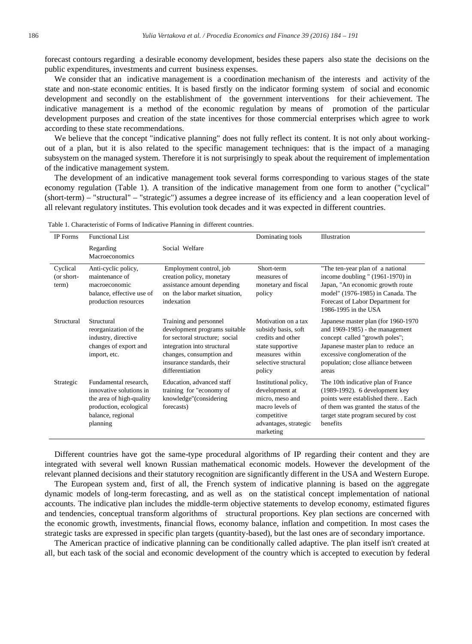forecast contours regarding a desirable economy development, besides these papers also state the decisions on the public expenditures, investments and current business expenses.

We consider that an indicative management is a coordination mechanism of the interests and activity of the state and non-state economic entities. It is based firstly on the indicator forming system of social and economic development and secondly on the establishment of the government interventions for their achievement. The indicative management is a method of the economic regulation by means of promotion of the particular development purposes and creation of the state incentives for those commercial enterprises which agree to work according to these state recommendations.

We believe that the concept "indicative planning" does not fully reflect its content. It is not only about workingout of a plan, but it is also related to the specific management techniques: that is the impact of a managing subsystem on the managed system. Therefore it is not surprisingly to speak about the requirement of implementation of the indicative management system.

The development of an indicative management took several forms corresponding to various stages of the state economy regulation (Table 1). A transition of the indicative management from one form to another ("cyclical" (short-term) – "structural" – "strategic") assumes a degree increase of its efficiency and a lean cooperation level of all relevant regulatory institutes. This evolution took decades and it was expected in different countries.

| <b>IP</b> Forms                 | <b>Functional List</b>                                                                                                                  |                                                                                                                                                                                                       | Dominating tools                                                                                                                         | Illustration                                                                                                                                                                                                                        |
|---------------------------------|-----------------------------------------------------------------------------------------------------------------------------------------|-------------------------------------------------------------------------------------------------------------------------------------------------------------------------------------------------------|------------------------------------------------------------------------------------------------------------------------------------------|-------------------------------------------------------------------------------------------------------------------------------------------------------------------------------------------------------------------------------------|
|                                 | Regarding<br>Macroeconomics                                                                                                             | Social Welfare                                                                                                                                                                                        |                                                                                                                                          |                                                                                                                                                                                                                                     |
| Cyclical<br>(or short-<br>term) | Anti-cyclic policy,<br>maintenance of<br>macroeconomic<br>balance, effective use of<br>production resources                             | Employment control, job<br>creation policy, monetary<br>assistance amount depending<br>on the labor market situation,<br>indexation                                                                   | Short-term<br>measures of<br>monetary and fiscal<br>policy                                                                               | "The ten-year plan of a national"<br>income doubling " (1961-1970) in<br>Japan, "An economic growth route<br>model" (1976-1985) in Canada. The<br>Forecast of Labor Department for<br>1986-1995 in the USA                          |
| Structural                      | Structural<br>reorganization of the<br>industry, directive<br>changes of export and<br>import, etc.                                     | Training and personnel<br>development programs suitable<br>for sectoral structure; social<br>integration into structural<br>changes, consumption and<br>insurance standards, their<br>differentiation | Motivation on a tax<br>subsidy basis, soft<br>credits and other<br>state supportive<br>measures within<br>selective structural<br>policy | Japanese master plan (for 1960-1970)<br>and $1969-1985$ ) - the management<br>concept called "growth poles";<br>Japanese master plan to reduce an<br>excessive conglomeration of the<br>population; close alliance between<br>areas |
| Strategic                       | Fundamental research,<br>innovative solutions in<br>the area of high-quality<br>production, ecological<br>balance, regional<br>planning | Education, advanced staff<br>training for "economy of<br>knowledge"(considering<br>forecasts)                                                                                                         | Institutional policy,<br>development at<br>micro, meso and<br>macro levels of<br>competitive<br>advantages, strategic<br>marketing       | The 10th indicative plan of France<br>(1989-1992). 6 development key<br>points were established there. . Each<br>of them was granted the status of the<br>target state program secured by cost<br>benefits                          |

Table 1. Characteristic of Forms of Indicative Planning in different countries.

Different countries have got the same-type procedural algorithms of IP regarding their content and they are integrated with several well known Russian mathematical economic models. However the development of the relevant planned decisions and their statutory recognition are significantly different in the USA and Western Europe.

The European system and, first of all, the French system of indicative planning is based on the aggregate dynamic models of long-term forecasting, and as well as on the statistical concept implementation of national accounts. The indicative plan includes the middle-term objective statements to develop economy, estimated figures and tendencies, conceptual transform algorithms of structural proportions. Key plan sections are concerned with the economic growth, investments, financial flows, economy balance, inflation and competition. In most cases the strategic tasks are expressed in specific plan targets (quantity-based), but the last ones are of secondary importance.

The American practice of indicative planning can be conditionally called adaptive. The plan itself isn't created at all, but each task of the social and economic development of the country which is accepted to execution by federal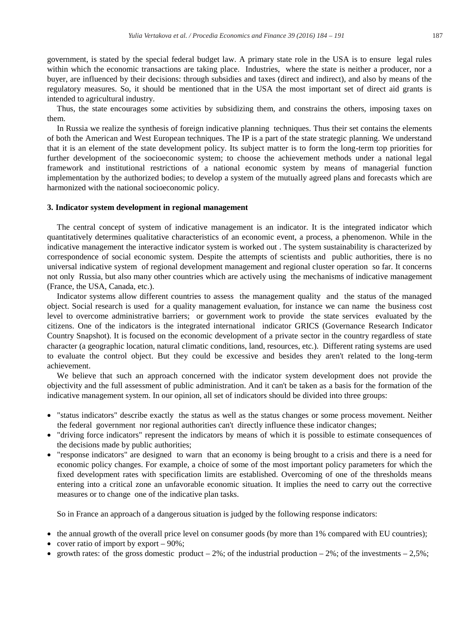government, is stated by the special federal budget law. A primary state role in the USA is to ensure legal rules within which the economic transactions are taking place. Industries, where the state is neither a producer, nor a buyer, are influenced by their decisions: through subsidies and taxes (direct and indirect), and also by means of the regulatory measures. So, it should be mentioned that in the USA the most important set of direct aid grants is intended to agricultural industry.

Thus, the state encourages some activities by subsidizing them, and constrains the others, imposing taxes on them.

In Russia we realize the synthesis of foreign indicative planning techniques. Thus their set contains the elements of both the American and West European techniques. The IP is a part of the state strategic planning. We understand that it is an element of the state development policy. Its subject matter is to form the long-term top priorities for further development of the socioeconomic system; to choose the achievement methods under a national legal framework and institutional restrictions of a national economic system by means of managerial function implementation by the authorized bodies; to develop a system of the mutually agreed plans and forecasts which are harmonized with the national socioeconomic policy.

#### **3. Indicator system development in regional management**

The central concept of system of indicative management is an indicator. It is the integrated indicator which quantitatively determines qualitative characteristics of an economic event, a process, a phenomenon. While in the indicative management the interactive indicator system is worked out . The system sustainability is characterized by correspondence of social economic system. Despite the attempts of scientists and public authorities, there is no universal indicative system of regional development management and regional cluster operation so far. It concerns not only Russia, but also many other countries which are actively using the mechanisms of indicative management (France, the USA, Canada, etc.).

Indicator systems allow different countries to assess the management quality and the status of the managed object. Social research is used for a quality management evaluation, for instance we can name the business cost level to overcome administrative barriers; or government work to provide the state services evaluated by the citizens. One of the indicators is the integrated international indicator GRICS (Governance Research Indicator Country Snapshot). It is focused on the economic development of a private sector in the country regardless of state character (a geographic location, natural climatic conditions, land, resources, etc.). Different rating systems are used to evaluate the control object. But they could be excessive and besides they aren't related to the long-term achievement.

We believe that such an approach concerned with the indicator system development does not provide the objectivity and the full assessment of public administration. And it can't be taken as a basis for the formation of the indicative management system. In our opinion, all set of indicators should be divided into three groups:

- "status indicators" describe exactly the status as well as the status changes or some process movement. Neither the federal government nor regional authorities can't directly influence these indicator changes;
- x "driving force indicators" represent the indicators by means of which it is possible to estimate consequences of the decisions made by public authorities;
- "response indicators" are designed to warn that an economy is being brought to a crisis and there is a need for economic policy changes. For example, a choice of some of the most important policy parameters for which the fixed development rates with specification limits are established. Overcoming of one of the thresholds means entering into a critical zone an unfavorable economic situation. It implies the need to carry out the corrective measures or to change one of the indicative plan tasks.

So in France an approach of a dangerous situation is judged by the following response indicators:

- the annual growth of the overall price level on consumer goods (by more than 1% compared with EU countries);
- cover ratio of import by export  $-90\%$ ;
- growth rates: of the gross domestic product 2%; of the industrial production 2%; of the investments 2,5%;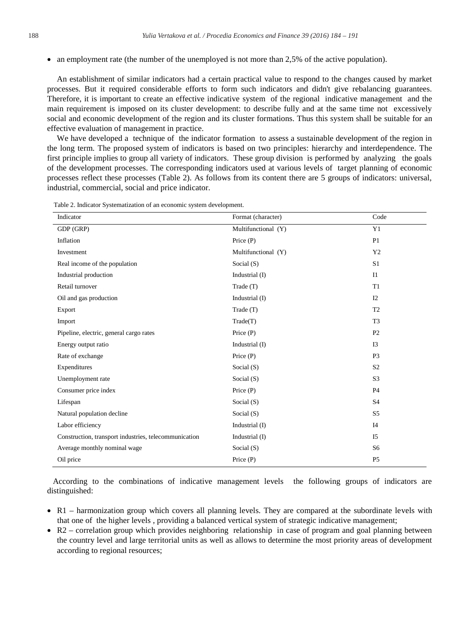$\bullet$  an employment rate (the number of the unemployed is not more than 2,5% of the active population).

An establishment of similar indicators had a certain practical value to respond to the changes caused by market processes. But it required considerable efforts to form such indicators and didn't give rebalancing guarantees. Therefore, it is important to create an effective indicative system of the regional indicative management and the main requirement is imposed on its cluster development: to describe fully and at the same time not excessively social and economic development of the region and its cluster formations. Thus this system shall be suitable for an effective evaluation of management in practice.

We have developed a technique of the indicator formation to assess a sustainable development of the region in the long term. The proposed system of indicators is based on two principles: hierarchy and interdependence. The first principle implies to group all variety of indicators. These group division is performed by analyzing the goals of the development processes. The corresponding indicators used at various levels of target planning of economic processes reflect these processes (Table 2). As follows from its content there are 5 groups of indicators: universal, industrial, commercial, social and price indicator.

| Indicator                                             | Format (character)  | Code           |
|-------------------------------------------------------|---------------------|----------------|
| GDP (GRP)                                             | Multifunctional (Y) | Y1             |
| Inflation                                             | Price $(P)$         | P1             |
| Investment                                            | Multifunctional (Y) | Y2             |
| Real income of the population                         | Social (S)          | S <sub>1</sub> |
| Industrial production                                 | Industrial (I)      | $_{\rm II}$    |
| Retail turnover                                       | Trade(T)            | T <sub>1</sub> |
| Oil and gas production                                | Industrial $(I)$    | 12             |
| Export                                                | Trade(T)            | T <sub>2</sub> |
| Import                                                | Trade(T)            | T <sub>3</sub> |
| Pipeline, electric, general cargo rates               | Price $(P)$         | P <sub>2</sub> |
| Energy output ratio                                   | Industrial (I)      | I3             |
| Rate of exchange                                      | Price $(P)$         | P <sub>3</sub> |
| Expenditures                                          | Social $(S)$        | S <sub>2</sub> |
| Unemployment rate                                     | Social (S)          | S <sub>3</sub> |
| Consumer price index                                  | Price $(P)$         | P <sub>4</sub> |
| Lifespan                                              | Social $(S)$        | S <sub>4</sub> |
| Natural population decline                            | Social $(S)$        | S <sub>5</sub> |
| Labor efficiency                                      | Industrial (I)      | I4             |
| Construction, transport industries, telecommunication | Industrial (I)      | I <sub>5</sub> |
| Average monthly nominal wage                          | Social (S)          | S <sub>6</sub> |
| Oil price                                             | Price $(P)$         | P <sub>5</sub> |

Table 2. Indicator Systematization of an economic system development.

According to the combinations of indicative management levels the following groups of indicators are distinguished:

- R1 harmonization group which covers all planning levels. They are compared at the subordinate levels with that one of the higher levels , providing a balanced vertical system of strategic indicative management;
- R2 correlation group which provides neighboring relationship in case of program and goal planning between the country level and large territorial units as well as allows to determine the most priority areas of development according to regional resources;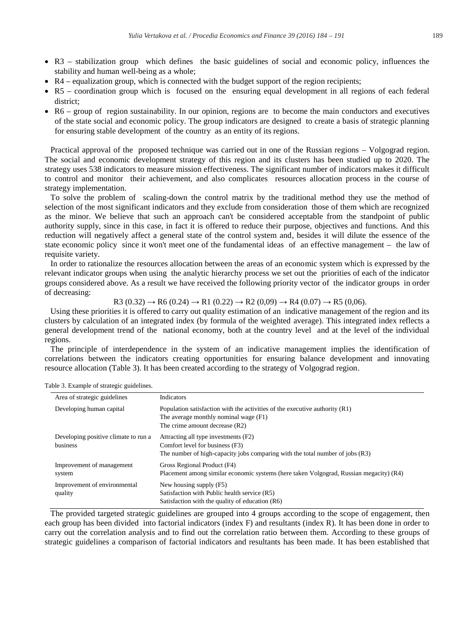- R3 stabilization group which defines the basic guidelines of social and economic policy, influences the stability and human well-being as a whole;
- $\bullet$  R4 equalization group, which is connected with the budget support of the region recipients;
- R5 coordination group which is focused on the ensuring equal development in all regions of each federal district;
- R6 group of region sustainability. In our opinion, regions are to become the main conductors and executives of the state social and economic policy. The group indicators are designed to create a basis of strategic planning for ensuring stable development of the country as an entity of its regions.

Practical approval of the proposed technique was carried out in one of the Russian regions – Volgograd region. The social and economic development strategy of this region and its clusters has been studied up to 2020. The strategy uses 538 indicators to measure mission effectiveness. The significant number of indicators makes it difficult to control and monitor their achievement, and also complicates resources allocation process in the course of strategy implementation.

To solve the problem of scaling-down the control matrix by the traditional method they use the method of selection of the most significant indicators and they exclude from consideration those of them which are recognized as the minor. We believe that such an approach can't be considered acceptable from the standpoint of public authority supply, since in this case, in fact it is offered to reduce their purpose, objectives and functions. And this reduction will negatively affect a general state of the control system and, besides it will dilute the essence of the state economic policy since it won't meet one of the fundamental ideas of an effective management – the law of requisite variety.

In order to rationalize the resources allocation between the areas of an economic system which is expressed by the relevant indicator groups when using the analytic hierarchy process we set out the priorities of each of the indicator groups considered above. As a result we have received the following priority vector of the indicator groups in order of decreasing:

 $R3 (0.32) \rightarrow R6 (0.24) \rightarrow R1 (0.22) \rightarrow R2 (0.09) \rightarrow R4 (0.07) \rightarrow R5 (0.06).$ 

Using these priorities it is offered to carry out quality estimation of an indicative management of the region and its clusters by calculation of an integrated index (by formula of the weighted average). This integrated index reflects a general development trend of the national economy, both at the country level and at the level of the individual regions.

The principle of interdependence in the system of an indicative management implies the identification of correlations between the indicators creating opportunities for ensuring balance development and innovating resource allocation (Table 3). It has been created according to the strategy of Volgograd region.

| Area of strategic guidelines                     | Indicators                                                                                                                                                 |
|--------------------------------------------------|------------------------------------------------------------------------------------------------------------------------------------------------------------|
| Developing human capital                         | Population satisfaction with the activities of the executive authority $(R1)$<br>The average monthly nominal wage (F1)<br>The crime amount decrease $(R2)$ |
| Developing positive climate to run a<br>business | Attracting all type investments (F2)<br>Comfort level for business (F3)<br>The number of high-capacity jobs comparing with the total number of jobs (R3)   |
| Improvement of management<br>system              | Gross Regional Product (F4)<br>Placement among similar economic systems (here taken Volgograd, Russian megacity) (R4)                                      |
| Improvement of environmental<br>quality          | New housing supply (F5)<br>Satisfaction with Public health service (R5)<br>Satisfaction with the quality of education (R6)                                 |

Table 3. Example of strategic guidelines.

The provided targeted strategic guidelines are grouped into 4 groups according to the scope of engagement, then each group has been divided into factorial indicators (index F) and resultants (index R). It has been done in order to carry out the correlation analysis and to find out the correlation ratio between them. According to these groups of strategic guidelines a comparison of factorial indicators and resultants has been made. It has been established that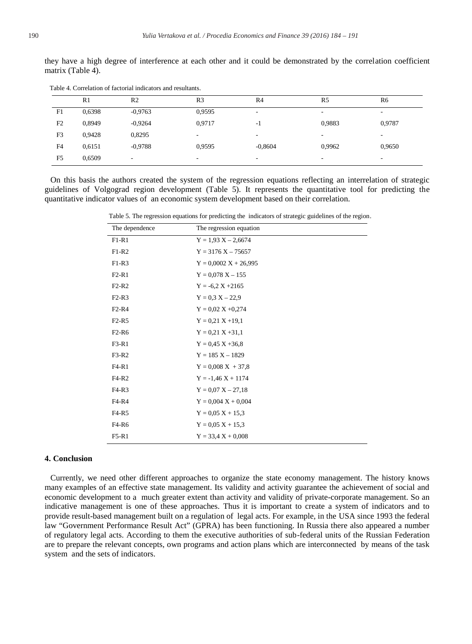|                | R1     | R <sub>2</sub>           | R <sub>3</sub>           | R4                       | R <sub>5</sub>           | R <sub>6</sub> |
|----------------|--------|--------------------------|--------------------------|--------------------------|--------------------------|----------------|
| F1             | 0.6398 | $-0,9763$                | 0,9595                   | $\overline{\phantom{a}}$ | $\overline{\phantom{0}}$ | -              |
| F2             | 0,8949 | $-0,9264$                | 0.9717                   | -1                       | 0,9883                   | 0,9787         |
| F3             | 0.9428 | 0,8295                   | $\overline{\phantom{0}}$ | $\overline{\phantom{0}}$ | $\overline{\phantom{0}}$ | -              |
| F <sub>4</sub> | 0,6151 | $-0.9788$                | 0,9595                   | $-0,8604$                | 0,9962                   | 0,9650         |
| F <sub>5</sub> | 0,6509 | $\overline{\phantom{a}}$ | $\overline{\phantom{a}}$ | $\overline{\phantom{a}}$ | $\overline{\phantom{0}}$ | -              |

they have a high degree of interference at each other and it could be demonstrated by the correlation coefficient

Table 4. Correlation of factorial indicators and resultants.

On this basis the authors created the system of the regression equations reflecting an interrelation of strategic guidelines of Volgograd region development (Table 5). It represents the quantitative tool for predicting the quantitative indicator values of an economic system development based on their correlation.

Table 5. The regression equations for predicting the indicators of strategic guidelines of the region.

| The regression equation   |
|---------------------------|
| $Y = 1,93$ X $- 2,6674$   |
| $Y = 3176 X - 75657$      |
| $Y = 0,0002$ $X + 26,995$ |
| $Y = 0.078 X - 155$       |
| $Y = -6.2 X + 2165$       |
| $Y = 0.3 X - 22.9$        |
| $Y = 0.02 X + 0.274$      |
| $Y = 0,21 X + 19,1$       |
| $Y = 0,21 X + 31,1$       |
| $Y = 0,45$ X +36,8        |
| $Y = 185 X - 1829$        |
| $Y = 0,008$ X + 37,8      |
| $Y = -1,46X + 1174$       |
| $Y = 0.07 X - 27.18$      |
| $Y = 0,004$ X + 0,004     |
| $Y = 0.05 X + 15.3$       |
| $Y = 0.05 X + 15.3$       |
| $Y = 33.4 X + 0.008$      |
|                           |

# **4. Conclusion**

Currently, we need other different approaches to organize the state economy management. The history knows many examples of an effective state management. Its validity and activity guarantee the achievement of social and economic development to a much greater extent than activity and validity of private-corporate management. So an indicative management is one of these approaches. Thus it is important to create a system of indicators and to provide result-based management built on a regulation of legal acts. For example, in the USA since 1993 the federal law "Government Performance Result Act" (GPRA) has been functioning. In Russia there also appeared a number of regulatory legal acts. According to them the executive authorities of sub-federal units of the Russian Federation are to prepare the relevant concepts, own programs and action plans which are interconnected by means of the task system and the sets of indicators.

matrix (Table 4).